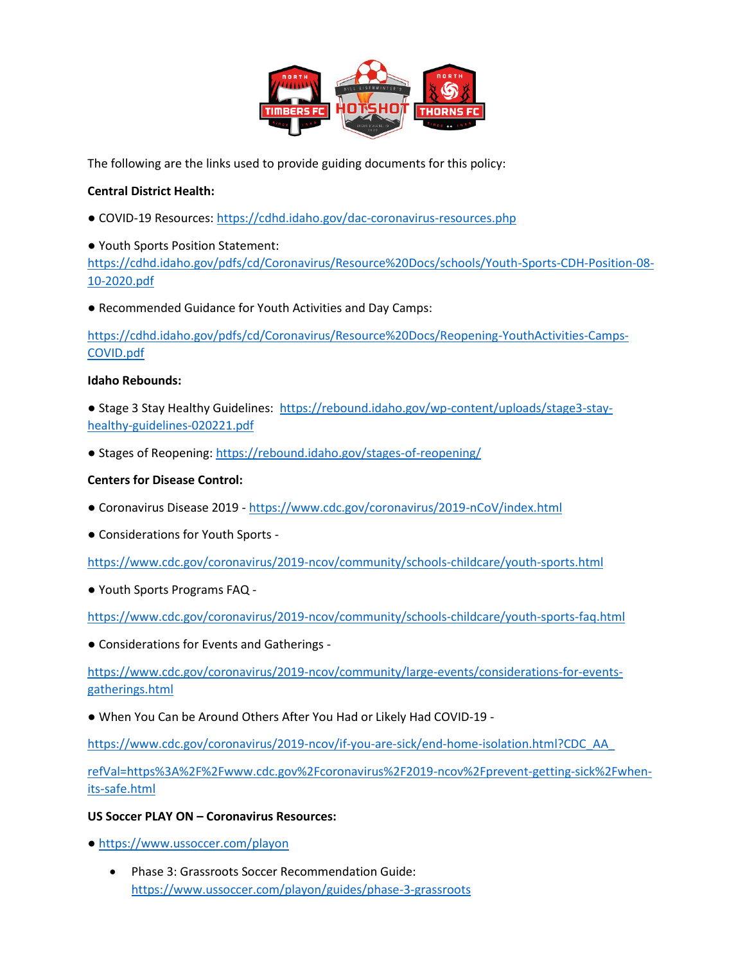

The following are the links used to provide guiding documents for this policy:

### **Central District Health:**

● COVID-19 Resources:<https://cdhd.idaho.gov/dac-coronavirus-resources.php>

● Youth Sports Position Statement: [https://cdhd.idaho.gov/pdfs/cd/Coronavirus/Resource%20Docs/schools/Youth-Sports-CDH-Position-08-](https://cdhd.idaho.gov/pdfs/cd/Coronavirus/Resource%20Docs/schools/Youth-Sports-CDH-Position-08-10-2020.pdf) [10-2020.pdf](https://cdhd.idaho.gov/pdfs/cd/Coronavirus/Resource%20Docs/schools/Youth-Sports-CDH-Position-08-10-2020.pdf)

● Recommended Guidance for Youth Activities and Day Camps:

[https://cdhd.idaho.gov/pdfs/cd/Coronavirus/Resource%20Docs/Reopening-YouthActivities-Camps-](https://cdhd.idaho.gov/pdfs/cd/Coronavirus/Resource%20Docs/Reopening-YouthActivities-Camps-COVID.pdf)[COVID.pdf](https://cdhd.idaho.gov/pdfs/cd/Coronavirus/Resource%20Docs/Reopening-YouthActivities-Camps-COVID.pdf)

#### **Idaho Rebounds:**

● Stage 3 Stay Healthy Guidelines: [https://rebound.idaho.gov/wp-content/uploads/stage3-stay](https://rebound.idaho.gov/wp-content/uploads/stage3-stay-healthy-guidelines-020221.pdf)[healthy-guidelines-020221.pdf](https://rebound.idaho.gov/wp-content/uploads/stage3-stay-healthy-guidelines-020221.pdf)

● Stages of Reopening: <https://rebound.idaho.gov/stages-of-reopening/>

### **Centers for Disease Control:**

- Coronavirus Disease 2019 <https://www.cdc.gov/coronavirus/2019-nCoV/index.html>
- Considerations for Youth Sports -

<https://www.cdc.gov/coronavirus/2019-ncov/community/schools-childcare/youth-sports.html>

● Youth Sports Programs FAQ -

<https://www.cdc.gov/coronavirus/2019-ncov/community/schools-childcare/youth-sports-faq.html>

● Considerations for Events and Gatherings -

[https://www.cdc.gov/coronavirus/2019-ncov/community/large-events/considerations-for-events](https://www.cdc.gov/coronavirus/2019-ncov/community/large-events/considerations-for-events-gatherings.html)[gatherings.html](https://www.cdc.gov/coronavirus/2019-ncov/community/large-events/considerations-for-events-gatherings.html)

● When You Can be Around Others After You Had or Likely Had COVID-19 -

[https://www.cdc.gov/coronavirus/2019-ncov/if-you-are-sick/end-home-isolation.html?CDC\\_AA\\_](https://www.cdc.gov/coronavirus/2019-ncov/if-you-are-sick/end-home-isolation.html?CDC_AA_refVal=https%3A%2F%2Fwww.cdc.gov%2Fcoronavirus%2F2019-ncov%2Fprevent-getting-sick%2Fwhen-its-safe.html)

[refVal=https%3A%2F%2Fwww.cdc.gov%2Fcoronavirus%2F2019-ncov%2Fprevent-getting-sick%2Fwhen](https://www.cdc.gov/coronavirus/2019-ncov/if-you-are-sick/end-home-isolation.html?CDC_AA_refVal=https%3A%2F%2Fwww.cdc.gov%2Fcoronavirus%2F2019-ncov%2Fprevent-getting-sick%2Fwhen-its-safe.html)[its-safe.html](https://www.cdc.gov/coronavirus/2019-ncov/if-you-are-sick/end-home-isolation.html?CDC_AA_refVal=https%3A%2F%2Fwww.cdc.gov%2Fcoronavirus%2F2019-ncov%2Fprevent-getting-sick%2Fwhen-its-safe.html)

### **US Soccer PLAY ON – Coronavirus Resources:**

- <https://www.ussoccer.com/playon>
	- Phase 3: Grassroots Soccer Recommendation Guide: <https://www.ussoccer.com/playon/guides/phase-3-grassroots>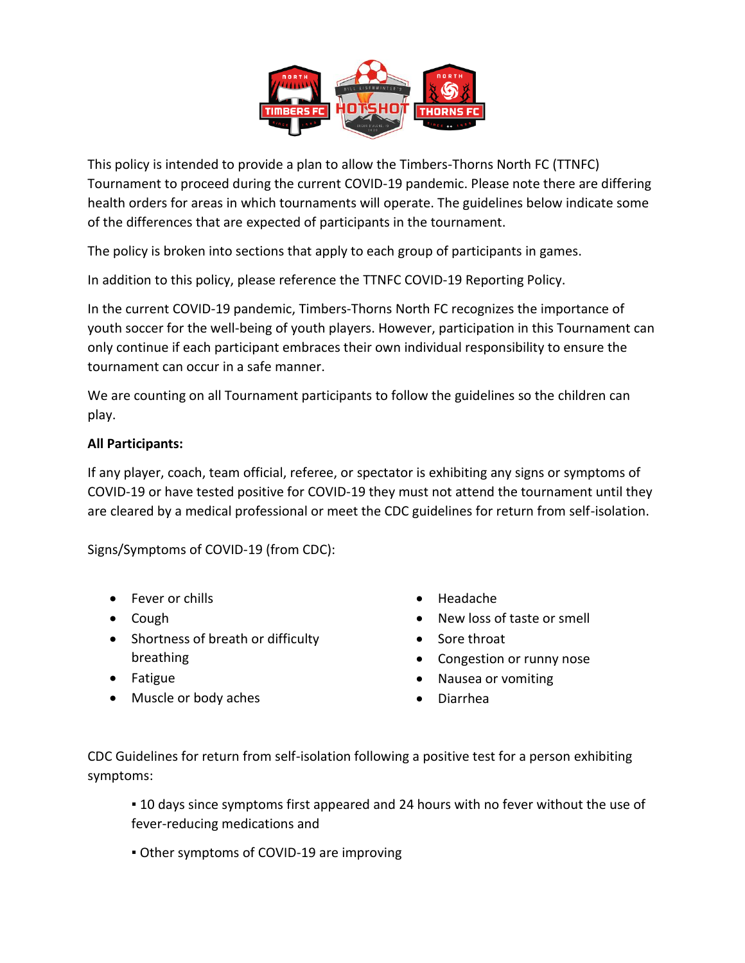

This policy is intended to provide a plan to allow the Timbers-Thorns North FC (TTNFC) Tournament to proceed during the current COVID-19 pandemic. Please note there are differing health orders for areas in which tournaments will operate. The guidelines below indicate some of the differences that are expected of participants in the tournament.

The policy is broken into sections that apply to each group of participants in games.

In addition to this policy, please reference the TTNFC COVID-19 Reporting Policy.

In the current COVID-19 pandemic, Timbers-Thorns North FC recognizes the importance of youth soccer for the well-being of youth players. However, participation in this Tournament can only continue if each participant embraces their own individual responsibility to ensure the tournament can occur in a safe manner.

We are counting on all Tournament participants to follow the guidelines so the children can play.

# **All Participants:**

If any player, coach, team official, referee, or spectator is exhibiting any signs or symptoms of COVID-19 or have tested positive for COVID-19 they must not attend the tournament until they are cleared by a medical professional or meet the CDC guidelines for return from self-isolation.

Signs/Symptoms of COVID-19 (from CDC):

- Fever or chills
- Cough
- Shortness of breath or difficulty breathing
- Fatigue
- Muscle or body aches
- Headache
- New loss of taste or smell
- Sore throat
- Congestion or runny nose
- Nausea or vomiting
- Diarrhea

CDC Guidelines for return from self-isolation following a positive test for a person exhibiting symptoms:

**.** 10 days since symptoms first appeared and 24 hours with no fever without the use of fever-reducing medications and

**• Other symptoms of COVID-19 are improving**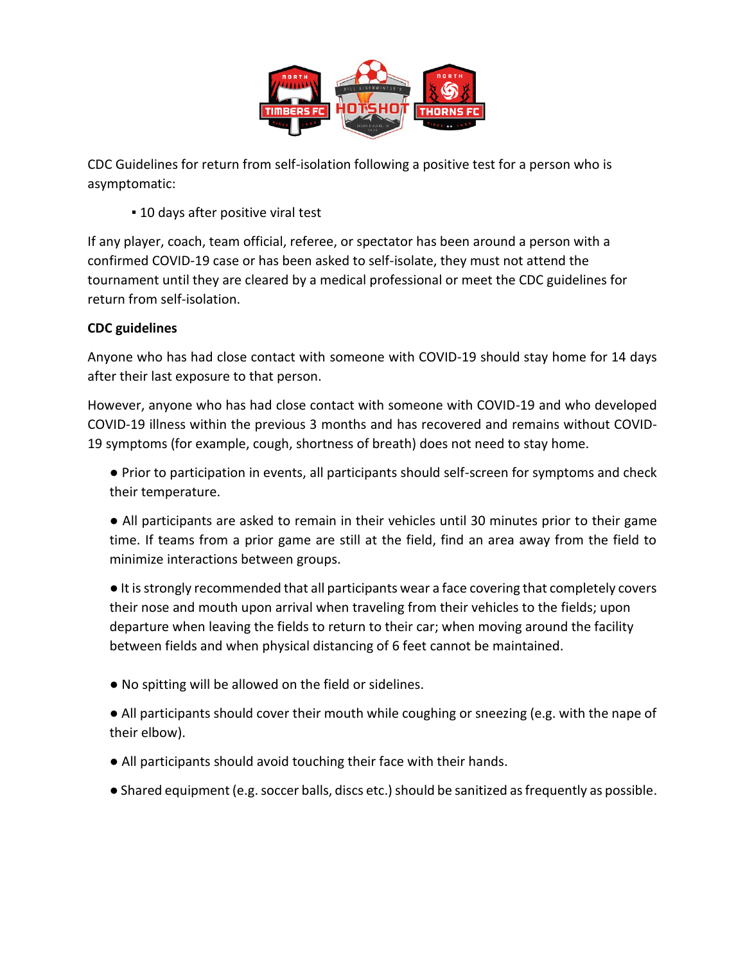

CDC Guidelines for return from self-isolation following a positive test for a person who is asymptomatic:

**.** 10 days after positive viral test

If any player, coach, team official, referee, or spectator has been around a person with a confirmed COVID-19 case or has been asked to self-isolate, they must not attend the tournament until they are cleared by a medical professional or meet the CDC guidelines for return from self-isolation.

# **CDC guidelines**

Anyone who has had close contact with someone with COVID-19 should stay home for 14 days after their last exposure to that person.

However, anyone who has had close contact with someone with COVID-19 and who developed COVID-19 illness within the previous 3 months and has recovered and remains without COVID-19 symptoms (for example, cough, shortness of breath) does not need to stay home.

- Prior to participation in events, all participants should self-screen for symptoms and check their temperature.
- All participants are asked to remain in their vehicles until 30 minutes prior to their game time. If teams from a prior game are still at the field, find an area away from the field to minimize interactions between groups.

● It is strongly recommended that all participants wear a face covering that completely covers their nose and mouth upon arrival when traveling from their vehicles to the fields; upon departure when leaving the fields to return to their car; when moving around the facility between fields and when physical distancing of 6 feet cannot be maintained.

- No spitting will be allowed on the field or sidelines.
- All participants should cover their mouth while coughing or sneezing (e.g. with the nape of their elbow).
- All participants should avoid touching their face with their hands.
- Shared equipment (e.g. soccer balls, discs etc.) should be sanitized as frequently as possible.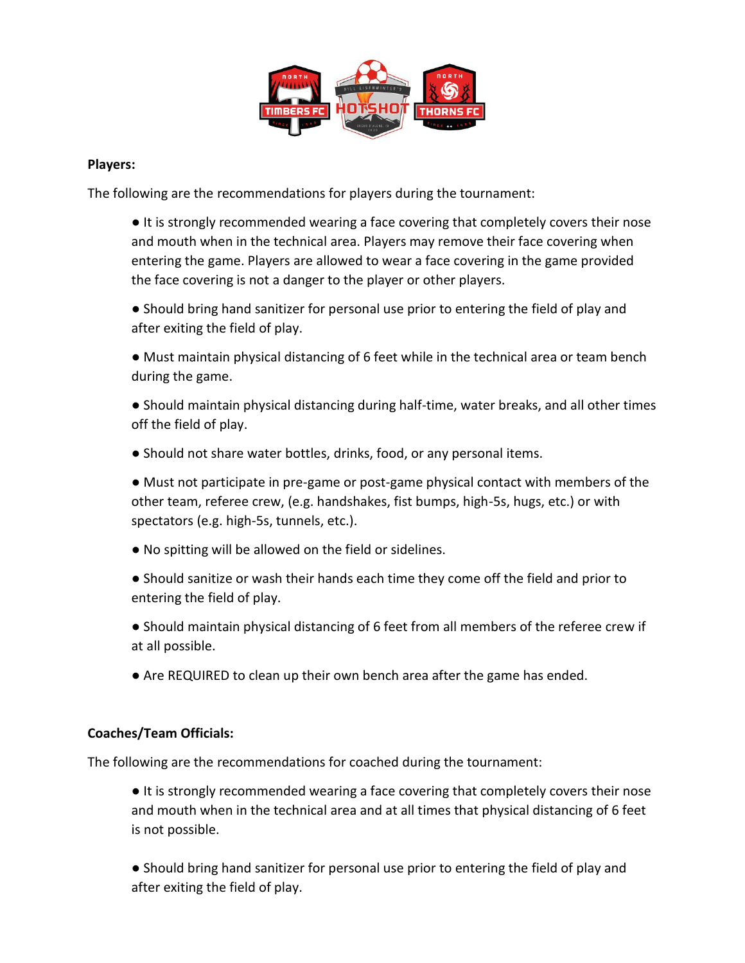

## **Players:**

The following are the recommendations for players during the tournament:

● It is strongly recommended wearing a face covering that completely covers their nose and mouth when in the technical area. Players may remove their face covering when entering the game. Players are allowed to wear a face covering in the game provided the face covering is not a danger to the player or other players.

● Should bring hand sanitizer for personal use prior to entering the field of play and after exiting the field of play.

● Must maintain physical distancing of 6 feet while in the technical area or team bench during the game.

● Should maintain physical distancing during half-time, water breaks, and all other times off the field of play.

• Should not share water bottles, drinks, food, or any personal items.

● Must not participate in pre-game or post-game physical contact with members of the other team, referee crew, (e.g. handshakes, fist bumps, high-5s, hugs, etc.) or with spectators (e.g. high-5s, tunnels, etc.).

● No spitting will be allowed on the field or sidelines.

● Should sanitize or wash their hands each time they come off the field and prior to entering the field of play.

● Should maintain physical distancing of 6 feet from all members of the referee crew if at all possible.

● Are REQUIRED to clean up their own bench area after the game has ended.

### **Coaches/Team Officials:**

The following are the recommendations for coached during the tournament:

● It is strongly recommended wearing a face covering that completely covers their nose and mouth when in the technical area and at all times that physical distancing of 6 feet is not possible.

● Should bring hand sanitizer for personal use prior to entering the field of play and after exiting the field of play.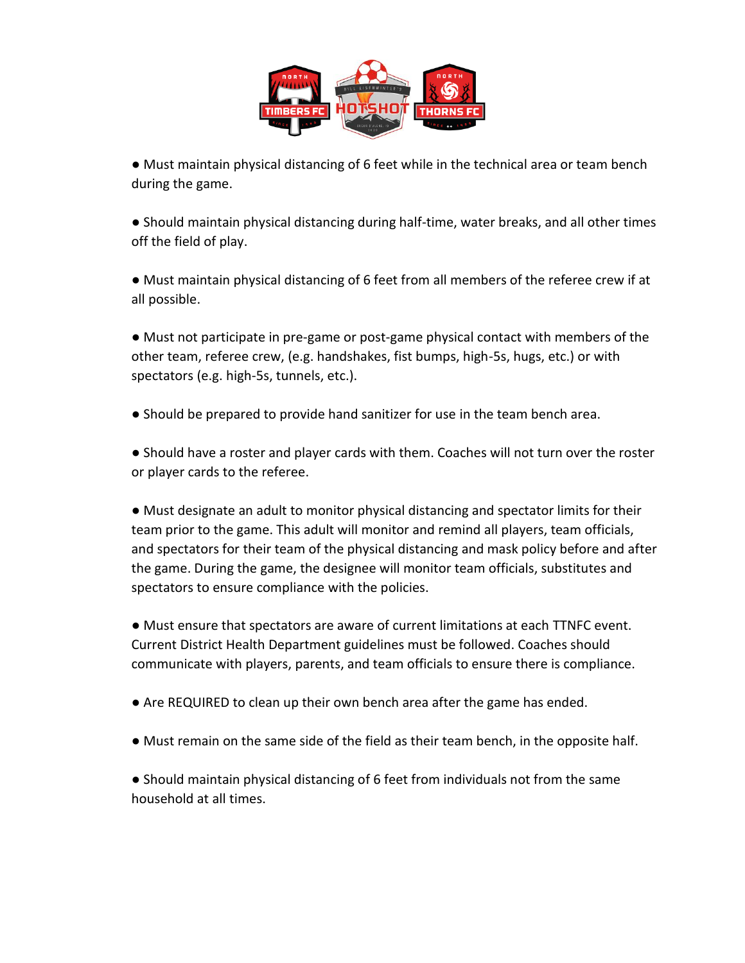

● Must maintain physical distancing of 6 feet while in the technical area or team bench during the game.

● Should maintain physical distancing during half-time, water breaks, and all other times off the field of play.

● Must maintain physical distancing of 6 feet from all members of the referee crew if at all possible.

● Must not participate in pre-game or post-game physical contact with members of the other team, referee crew, (e.g. handshakes, fist bumps, high-5s, hugs, etc.) or with spectators (e.g. high-5s, tunnels, etc.).

● Should be prepared to provide hand sanitizer for use in the team bench area.

● Should have a roster and player cards with them. Coaches will not turn over the roster or player cards to the referee.

● Must designate an adult to monitor physical distancing and spectator limits for their team prior to the game. This adult will monitor and remind all players, team officials, and spectators for their team of the physical distancing and mask policy before and after the game. During the game, the designee will monitor team officials, substitutes and spectators to ensure compliance with the policies.

● Must ensure that spectators are aware of current limitations at each TTNFC event. Current District Health Department guidelines must be followed. Coaches should communicate with players, parents, and team officials to ensure there is compliance.

- Are REQUIRED to clean up their own bench area after the game has ended.
- Must remain on the same side of the field as their team bench, in the opposite half.

● Should maintain physical distancing of 6 feet from individuals not from the same household at all times.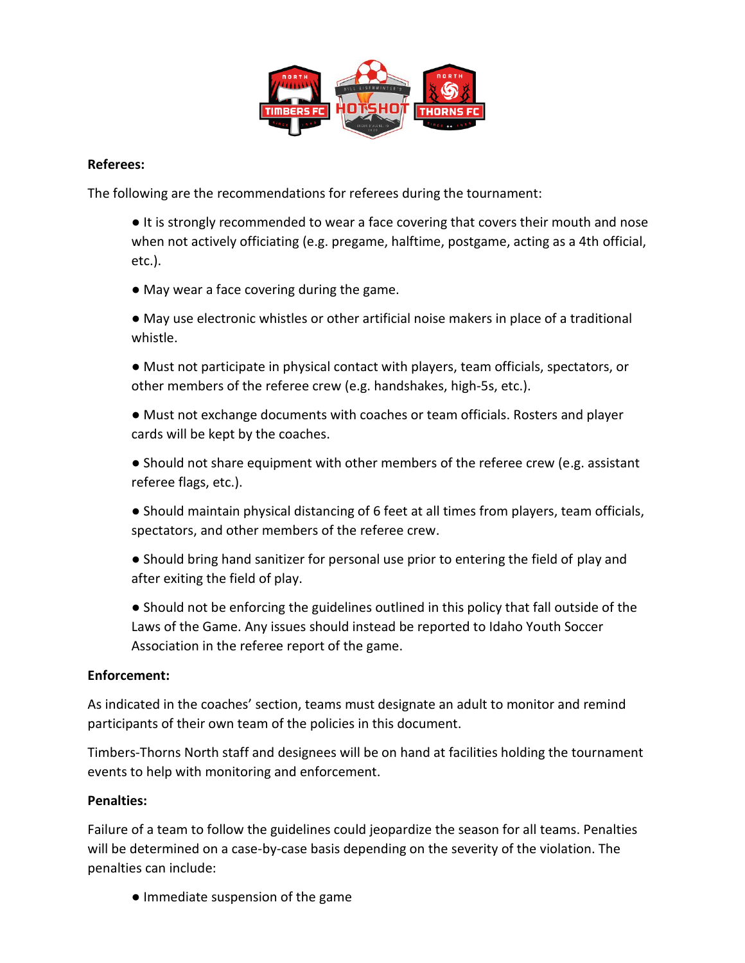

## **Referees:**

The following are the recommendations for referees during the tournament:

● It is strongly recommended to wear a face covering that covers their mouth and nose when not actively officiating (e.g. pregame, halftime, postgame, acting as a 4th official, etc.).

● May wear a face covering during the game.

● May use electronic whistles or other artificial noise makers in place of a traditional whistle.

● Must not participate in physical contact with players, team officials, spectators, or other members of the referee crew (e.g. handshakes, high-5s, etc.).

● Must not exchange documents with coaches or team officials. Rosters and player cards will be kept by the coaches.

● Should not share equipment with other members of the referee crew (e.g. assistant referee flags, etc.).

● Should maintain physical distancing of 6 feet at all times from players, team officials, spectators, and other members of the referee crew.

● Should bring hand sanitizer for personal use prior to entering the field of play and after exiting the field of play.

● Should not be enforcing the guidelines outlined in this policy that fall outside of the Laws of the Game. Any issues should instead be reported to Idaho Youth Soccer Association in the referee report of the game.

## **Enforcement:**

As indicated in the coaches' section, teams must designate an adult to monitor and remind participants of their own team of the policies in this document.

Timbers-Thorns North staff and designees will be on hand at facilities holding the tournament events to help with monitoring and enforcement.

### **Penalties:**

Failure of a team to follow the guidelines could jeopardize the season for all teams. Penalties will be determined on a case-by-case basis depending on the severity of the violation. The penalties can include:

● Immediate suspension of the game